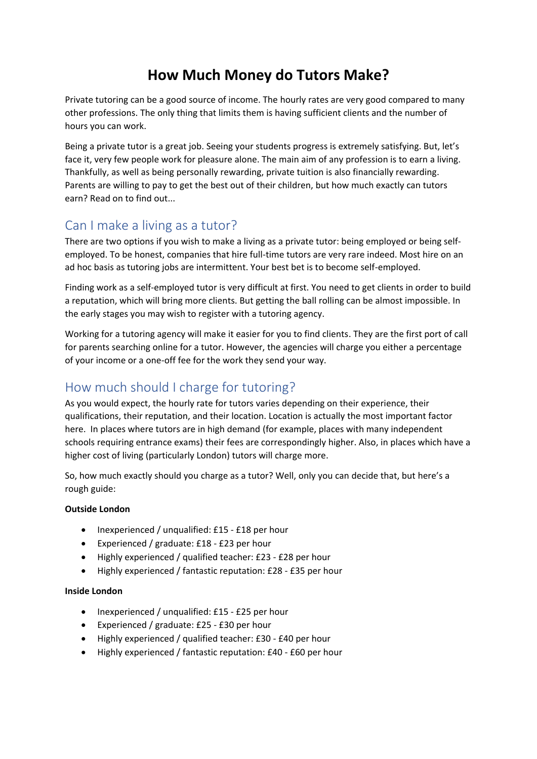# **How Much Money do Tutors Make?**

Private tutoring can be a good source of income. The hourly rates are very good compared to many other professions. The only thing that limits them is having sufficient clients and the number of hours you can work.

Being a private tutor is a great job. Seeing your students progress is extremely satisfying. But, let's face it, very few people work for pleasure alone. The main aim of any profession is to earn a living. Thankfully, as well as being personally rewarding, private tuition is also financially rewarding. Parents are willing to pay to get the best out of their children, but how much exactly can tutors earn? Read on to find out...

# Can I make a living as a tutor?

There are two options if you wish to make a living as a private tutor: being employed or being selfemployed. To be honest, companies that hire full-time tutors are very rare indeed. Most hire on an ad hoc basis as tutoring jobs are intermittent. Your best bet is to become self-employed.

Finding work as a self-employed tutor is very difficult at first. You need to get clients in order to build a reputation, which will bring more clients. But getting the ball rolling can be almost impossible. In the early stages you may wish to register with a tutoring agency.

Working for a tutoring agency will make it easier for you to find clients. They are the first port of call for parents searching online for a tutor. However, the agencies will charge you either a percentage of your income or a one-off fee for the work they send your way.

# How much should I charge for tutoring?

As you would expect, the hourly rate for tutors varies depending on their experience, their qualifications, their reputation, and their location. Location is actually the most important factor here. In places where tutors are in high demand (for example, places with many independent schools requiring entrance exams) their fees are correspondingly higher. Also, in places which have a higher cost of living (particularly London) tutors will charge more.

So, how much exactly should you charge as a tutor? Well, only you can decide that, but here's a rough guide:

#### **Outside London**

- Inexperienced / unqualified: £15 £18 per hour
- Experienced / graduate: £18 £23 per hour
- Highly experienced / qualified teacher: £23 £28 per hour
- Highly experienced / fantastic reputation: £28 £35 per hour

#### **Inside London**

- Inexperienced / unqualified: £15 £25 per hour
- Experienced / graduate: £25 £30 per hour
- Highly experienced / qualified teacher: £30 £40 per hour
- Highly experienced / fantastic reputation: £40 £60 per hour